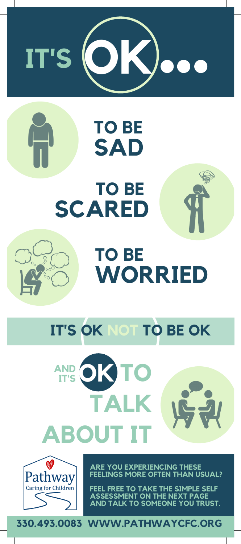

# **TO BE SAD TO BE SCARED**



# **TO BE WORRIED**

## **IT'S OK NOT TO BE OK**





**ARE YOU EXPERIENCING THESE FEELINGS MORE OFTEN THAN USUAL?**

**FEEL FREE TO TAKE THE SIMPLE SELF ASSESSMENT ON THE NEXT PAGE AND TALK TO SOMEONE YOU TRUST.**

**330.493.0083 WWW.PATHWAYCFC.ORG**